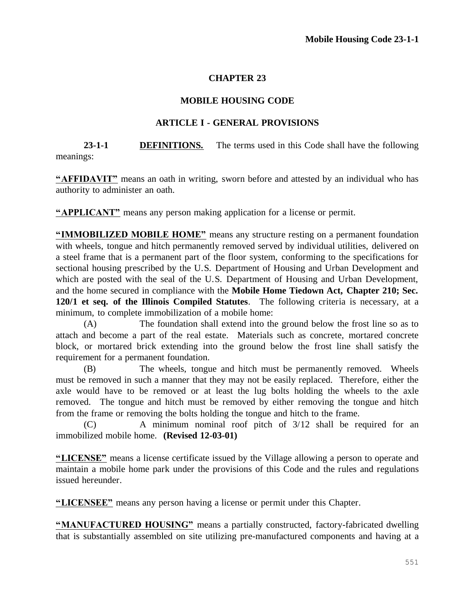## **CHAPTER 23**

## **MOBILE HOUSING CODE**

## **ARTICLE I - GENERAL PROVISIONS**

**23-1-1 DEFINITIONS.** The terms used in this Code shall have the following meanings:

**"AFFIDAVIT"** means an oath in writing, sworn before and attested by an individual who has authority to administer an oath.

**"APPLICANT"** means any person making application for a license or permit.

**"IMMOBILIZED MOBILE HOME"** means any structure resting on a permanent foundation with wheels, tongue and hitch permanently removed served by individual utilities, delivered on a steel frame that is a permanent part of the floor system, conforming to the specifications for sectional housing prescribed by the U.S. Department of Housing and Urban Development and which are posted with the seal of the U.S. Department of Housing and Urban Development, and the home secured in compliance with the **Mobile Home Tiedown Act, Chapter 210; Sec. 120/1 et seq. of the Illinois Compiled Statutes**. The following criteria is necessary, at a minimum, to complete immobilization of a mobile home:

(A) The foundation shall extend into the ground below the frost line so as to attach and become a part of the real estate. Materials such as concrete, mortared concrete block, or mortared brick extending into the ground below the frost line shall satisfy the requirement for a permanent foundation.

(B) The wheels, tongue and hitch must be permanently removed. Wheels must be removed in such a manner that they may not be easily replaced. Therefore, either the axle would have to be removed or at least the lug bolts holding the wheels to the axle removed. The tongue and hitch must be removed by either removing the tongue and hitch from the frame or removing the bolts holding the tongue and hitch to the frame.

(C) A minimum nominal roof pitch of 3/12 shall be required for an immobilized mobile home. **(Revised 12-03-01)**

**"LICENSE"** means a license certificate issued by the Village allowing a person to operate and maintain a mobile home park under the provisions of this Code and the rules and regulations issued hereunder.

**"LICENSEE"** means any person having a license or permit under this Chapter.

**"MANUFACTURED HOUSING"** means a partially constructed, factory-fabricated dwelling that is substantially assembled on site utilizing pre-manufactured components and having at a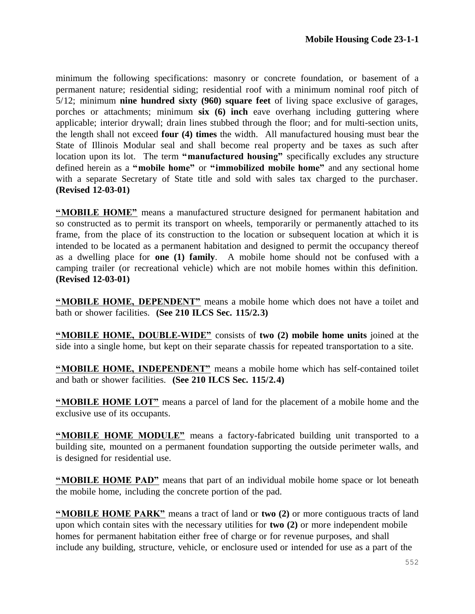minimum the following specifications: masonry or concrete foundation, or basement of a permanent nature; residential siding; residential roof with a minimum nominal roof pitch of 5/12; minimum **nine hundred sixty (960) square feet** of living space exclusive of garages, porches or attachments; minimum **six (6) inch** eave overhang including guttering where applicable; interior drywall; drain lines stubbed through the floor; and for multi-section units, the length shall not exceed **four (4) times** the width. All manufactured housing must bear the State of Illinois Modular seal and shall become real property and be taxes as such after location upon its lot. The term **"manufactured housing"** specifically excludes any structure defined herein as a **"mobile home"** or **"immobilized mobile home"** and any sectional home with a separate Secretary of State title and sold with sales tax charged to the purchaser. **(Revised 12-03-01)**

**"MOBILE HOME"** means a manufactured structure designed for permanent habitation and so constructed as to permit its transport on wheels, temporarily or permanently attached to its frame, from the place of its construction to the location or subsequent location at which it is intended to be located as a permanent habitation and designed to permit the occupancy thereof as a dwelling place for **one (1) family**. A mobile home should not be confused with a camping trailer (or recreational vehicle) which are not mobile homes within this definition. **(Revised 12-03-01)**

**"MOBILE HOME, DEPENDENT"** means a mobile home which does not have a toilet and bath or shower facilities. **(See 210 ILCS Sec. 115/2.3)**

**"MOBILE HOME, DOUBLE-WIDE"** consists of **two (2) mobile home units** joined at the side into a single home, but kept on their separate chassis for repeated transportation to a site.

**"MOBILE HOME, INDEPENDENT"** means a mobile home which has self-contained toilet and bath or shower facilities. **(See 210 ILCS Sec. 115/2.4)**

**"MOBILE HOME LOT"** means a parcel of land for the placement of a mobile home and the exclusive use of its occupants.

**"MOBILE HOME MODULE"** means a factory-fabricated building unit transported to a building site, mounted on a permanent foundation supporting the outside perimeter walls, and is designed for residential use.

**"MOBILE HOME PAD"** means that part of an individual mobile home space or lot beneath the mobile home, including the concrete portion of the pad.

**"MOBILE HOME PARK"** means a tract of land or **two (2)** or more contiguous tracts of land upon which contain sites with the necessary utilities for **two (2)** or more independent mobile homes for permanent habitation either free of charge or for revenue purposes, and shall include any building, structure, vehicle, or enclosure used or intended for use as a part of the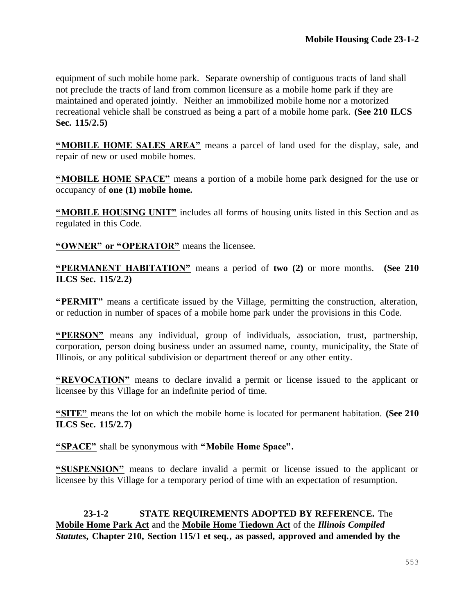equipment of such mobile home park. Separate ownership of contiguous tracts of land shall not preclude the tracts of land from common licensure as a mobile home park if they are maintained and operated jointly. Neither an immobilized mobile home nor a motorized recreational vehicle shall be construed as being a part of a mobile home park. **(See 210 ILCS Sec. 115/2.5)**

**"MOBILE HOME SALES AREA"** means a parcel of land used for the display, sale, and repair of new or used mobile homes.

**"MOBILE HOME SPACE"** means a portion of a mobile home park designed for the use or occupancy of **one (1) mobile home.**

**"MOBILE HOUSING UNIT"** includes all forms of housing units listed in this Section and as regulated in this Code.

**"OWNER" or "OPERATOR"** means the licensee.

**"PERMANENT HABITATION"** means a period of **two (2)** or more months. **(See 210 ILCS Sec. 115/2.2)**

**"PERMIT"** means a certificate issued by the Village, permitting the construction, alteration, or reduction in number of spaces of a mobile home park under the provisions in this Code.

**"PERSON"** means any individual, group of individuals, association, trust, partnership, corporation, person doing business under an assumed name, county, municipality, the State of Illinois, or any political subdivision or department thereof or any other entity.

**"REVOCATION"** means to declare invalid a permit or license issued to the applicant or licensee by this Village for an indefinite period of time.

**"SITE"** means the lot on which the mobile home is located for permanent habitation. **(See 210 ILCS Sec. 115/2.7)**

**"SPACE"** shall be synonymous with **"Mobile Home Space".**

**"SUSPENSION"** means to declare invalid a permit or license issued to the applicant or licensee by this Village for a temporary period of time with an expectation of resumption.

**23-1-2 STATE REQUIREMENTS ADOPTED BY REFERENCE.** The **Mobile Home Park Act** and the **Mobile Home Tiedown Act** of the *Illinois Compiled Statutes***, Chapter 210, Section 115/1 et seq., as passed, approved and amended by the**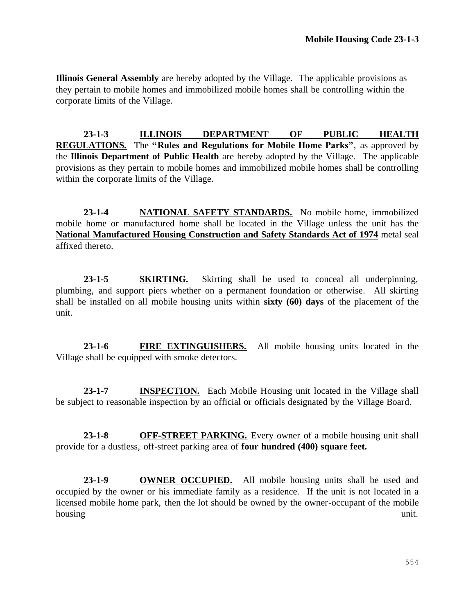**Illinois General Assembly** are hereby adopted by the Village. The applicable provisions as they pertain to mobile homes and immobilized mobile homes shall be controlling within the corporate limits of the Village.

**23-1-3 ILLINOIS DEPARTMENT OF PUBLIC HEALTH REGULATIONS.** The **"Rules and Regulations for Mobile Home Parks"**, as approved by the **Illinois Department of Public Health** are hereby adopted by the Village. The applicable provisions as they pertain to mobile homes and immobilized mobile homes shall be controlling within the corporate limits of the Village.

**23-1-4 NATIONAL SAFETY STANDARDS.** No mobile home, immobilized mobile home or manufactured home shall be located in the Village unless the unit has the **National Manufactured Housing Construction and Safety Standards Act of 1974** metal seal affixed thereto.

**23-1-5 SKIRTING.** Skirting shall be used to conceal all underpinning, plumbing, and support piers whether on a permanent foundation or otherwise. All skirting shall be installed on all mobile housing units within **sixty (60) days** of the placement of the unit.

**23-1-6 FIRE EXTINGUISHERS.** All mobile housing units located in the Village shall be equipped with smoke detectors.

**23-1-7 INSPECTION.** Each Mobile Housing unit located in the Village shall be subject to reasonable inspection by an official or officials designated by the Village Board.

**23-1-8 OFF-STREET PARKING.** Every owner of a mobile housing unit shall provide for a dustless, off-street parking area of **four hundred (400) square feet.**

**23-1-9 OWNER OCCUPIED.** All mobile housing units shall be used and occupied by the owner or his immediate family as a residence. If the unit is not located in a licensed mobile home park, then the lot should be owned by the owner-occupant of the mobile housing unit.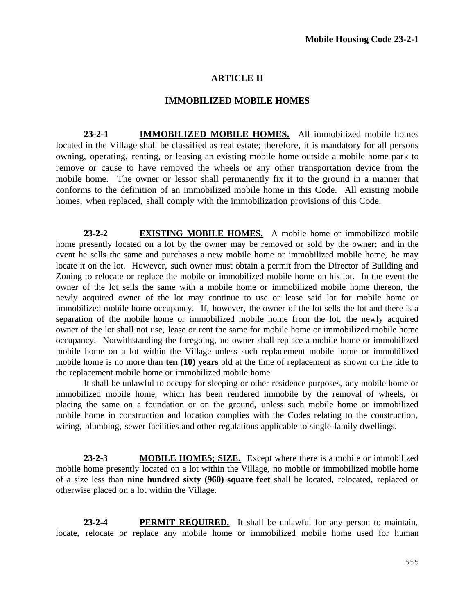### **ARTICLE II**

#### **IMMOBILIZED MOBILE HOMES**

**23-2-1 IMMOBILIZED MOBILE HOMES.** All immobilized mobile homes located in the Village shall be classified as real estate; therefore, it is mandatory for all persons owning, operating, renting, or leasing an existing mobile home outside a mobile home park to remove or cause to have removed the wheels or any other transportation device from the mobile home. The owner or lessor shall permanently fix it to the ground in a manner that conforms to the definition of an immobilized mobile home in this Code. All existing mobile homes, when replaced, shall comply with the immobilization provisions of this Code.

**23-2-2 EXISTING MOBILE HOMES.** A mobile home or immobilized mobile home presently located on a lot by the owner may be removed or sold by the owner; and in the event he sells the same and purchases a new mobile home or immobilized mobile home, he may locate it on the lot. However, such owner must obtain a permit from the Director of Building and Zoning to relocate or replace the mobile or immobilized mobile home on his lot. In the event the owner of the lot sells the same with a mobile home or immobilized mobile home thereon, the newly acquired owner of the lot may continue to use or lease said lot for mobile home or immobilized mobile home occupancy. If, however, the owner of the lot sells the lot and there is a separation of the mobile home or immobilized mobile home from the lot, the newly acquired owner of the lot shall not use, lease or rent the same for mobile home or immobilized mobile home occupancy. Notwithstanding the foregoing, no owner shall replace a mobile home or immobilized mobile home on a lot within the Village unless such replacement mobile home or immobilized mobile home is no more than **ten (10) years** old at the time of replacement as shown on the title to the replacement mobile home or immobilized mobile home.

It shall be unlawful to occupy for sleeping or other residence purposes, any mobile home or immobilized mobile home, which has been rendered immobile by the removal of wheels, or placing the same on a foundation or on the ground, unless such mobile home or immobilized mobile home in construction and location complies with the Codes relating to the construction, wiring, plumbing, sewer facilities and other regulations applicable to single-family dwellings.

**23-2-3 MOBILE HOMES; SIZE.** Except where there is a mobile or immobilized mobile home presently located on a lot within the Village, no mobile or immobilized mobile home of a size less than **nine hundred sixty (960) square feet** shall be located, relocated, replaced or otherwise placed on a lot within the Village.

**23-2-4 PERMIT REQUIRED.** It shall be unlawful for any person to maintain, locate, relocate or replace any mobile home or immobilized mobile home used for human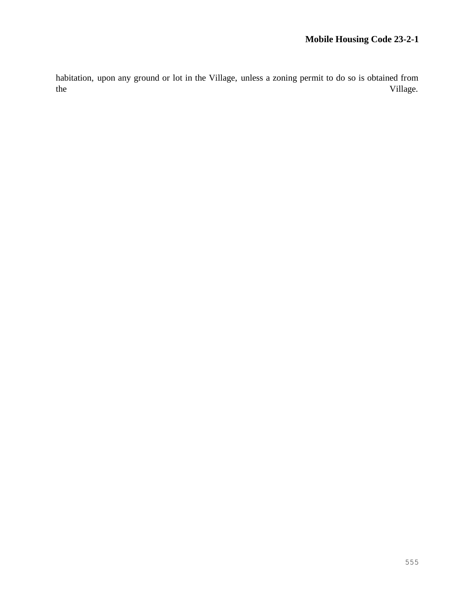habitation, upon any ground or lot in the Village, unless a zoning permit to do so is obtained from the village.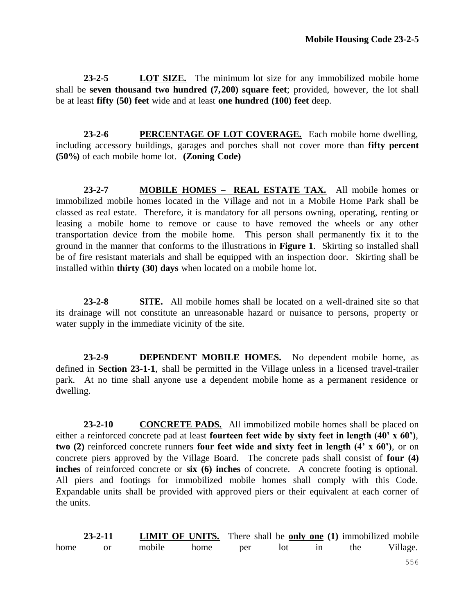**23-2-5 LOT SIZE.** The minimum lot size for any immobilized mobile home shall be **seven thousand two hundred (7,200) square feet**; provided, however, the lot shall be at least **fifty (50) feet** wide and at least **one hundred (100) feet** deep.

**23-2-6 PERCENTAGE OF LOT COVERAGE.** Each mobile home dwelling, including accessory buildings, garages and porches shall not cover more than **fifty percent (50%)** of each mobile home lot. **(Zoning Code)**

**23-2-7 MOBILE HOMES – REAL ESTATE TAX.** All mobile homes or immobilized mobile homes located in the Village and not in a Mobile Home Park shall be classed as real estate. Therefore, it is mandatory for all persons owning, operating, renting or leasing a mobile home to remove or cause to have removed the wheels or any other transportation device from the mobile home. This person shall permanently fix it to the ground in the manner that conforms to the illustrations in **Figure 1**. Skirting so installed shall be of fire resistant materials and shall be equipped with an inspection door. Skirting shall be installed within **thirty (30) days** when located on a mobile home lot.

**23-2-8 SITE.** All mobile homes shall be located on a well-drained site so that its drainage will not constitute an unreasonable hazard or nuisance to persons, property or water supply in the immediate vicinity of the site.

**23-2-9 DEPENDENT MOBILE HOMES.** No dependent mobile home, as defined in **Section 23-1-1**, shall be permitted in the Village unless in a licensed travel-trailer park. At no time shall anyone use a dependent mobile home as a permanent residence or dwelling.

**23-2-10 CONCRETE PADS.** All immobilized mobile homes shall be placed on either a reinforced concrete pad at least **fourteen feet wide by sixty feet in length (40' x 60')**, **two (2)** reinforced concrete runners **four feet wide and sixty feet in length (4' x 60')**, or on concrete piers approved by the Village Board. The concrete pads shall consist of **four (4) inches** of reinforced concrete or **six (6) inches** of concrete. A concrete footing is optional. All piers and footings for immobilized mobile homes shall comply with this Code. Expandable units shall be provided with approved piers or their equivalent at each corner of the units.

**23-2-11 LIMIT OF UNITS.** There shall be **only one (1)** immobilized mobile home or mobile home per lot in the Village.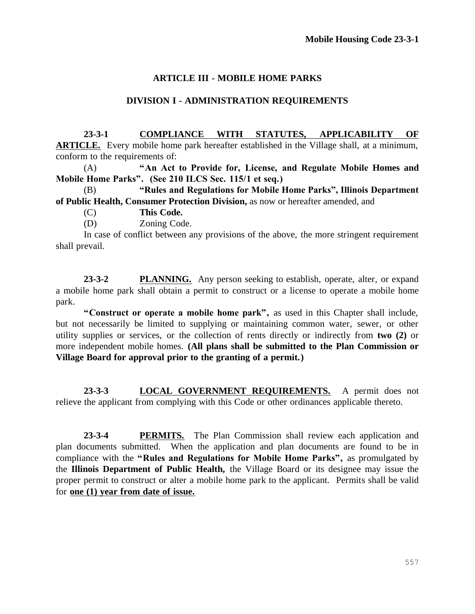# **ARTICLE III - MOBILE HOME PARKS**

# **DIVISION I - ADMINISTRATION REQUIREMENTS**

**23-3-1 COMPLIANCE WITH STATUTES, APPLICABILITY OF ARTICLE.** Every mobile home park hereafter established in the Village shall, at a minimum, conform to the requirements of:

(A) **"An Act to Provide for, License, and Regulate Mobile Homes and Mobile Home Parks". (See 210 ILCS Sec. 115/1 et seq.)**

(B) **"Rules and Regulations for Mobile Home Parks", Illinois Department of Public Health, Consumer Protection Division,** as now or hereafter amended, and

(C) **This Code.**

(D) Zoning Code.

In case of conflict between any provisions of the above, the more stringent requirement shall prevail.

**23-3-2 PLANNING.** Any person seeking to establish, operate, alter, or expand a mobile home park shall obtain a permit to construct or a license to operate a mobile home park.

**"Construct or operate a mobile home park",** as used in this Chapter shall include, but not necessarily be limited to supplying or maintaining common water, sewer, or other utility supplies or services, or the collection of rents directly or indirectly from **two (2)** or more independent mobile homes. **(All plans shall be submitted to the Plan Commission or Village Board for approval prior to the granting of a permit.)**

**23-3-3 LOCAL GOVERNMENT REQUIREMENTS.** A permit does not relieve the applicant from complying with this Code or other ordinances applicable thereto.

**23-3-4 PERMITS.** The Plan Commission shall review each application and plan documents submitted. When the application and plan documents are found to be in compliance with the **"Rules and Regulations for Mobile Home Parks",** as promulgated by the **Illinois Department of Public Health,** the Village Board or its designee may issue the proper permit to construct or alter a mobile home park to the applicant. Permits shall be valid for **one (1) year from date of issue.**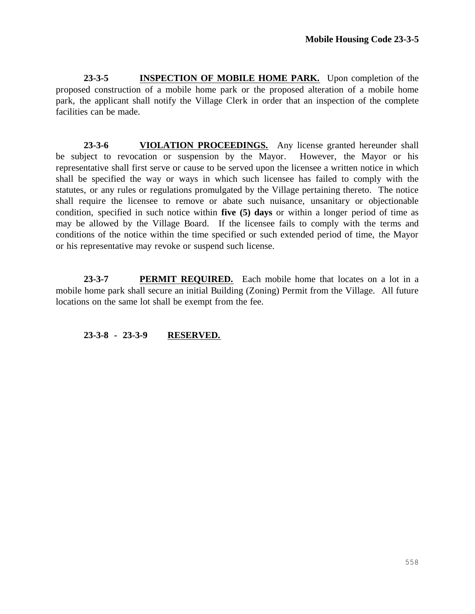**23-3-5 INSPECTION OF MOBILE HOME PARK.** Upon completion of the proposed construction of a mobile home park or the proposed alteration of a mobile home park, the applicant shall notify the Village Clerk in order that an inspection of the complete facilities can be made.

**23-3-6 VIOLATION PROCEEDINGS.** Any license granted hereunder shall be subject to revocation or suspension by the Mayor. However, the Mayor or his representative shall first serve or cause to be served upon the licensee a written notice in which shall be specified the way or ways in which such licensee has failed to comply with the statutes, or any rules or regulations promulgated by the Village pertaining thereto. The notice shall require the licensee to remove or abate such nuisance, unsanitary or objectionable condition, specified in such notice within **five (5) days** or within a longer period of time as may be allowed by the Village Board. If the licensee fails to comply with the terms and conditions of the notice within the time specified or such extended period of time, the Mayor or his representative may revoke or suspend such license.

**23-3-7 PERMIT REQUIRED.** Each mobile home that locates on a lot in a mobile home park shall secure an initial Building (Zoning) Permit from the Village. All future locations on the same lot shall be exempt from the fee.

**23-3-8 - 23-3-9 RESERVED.**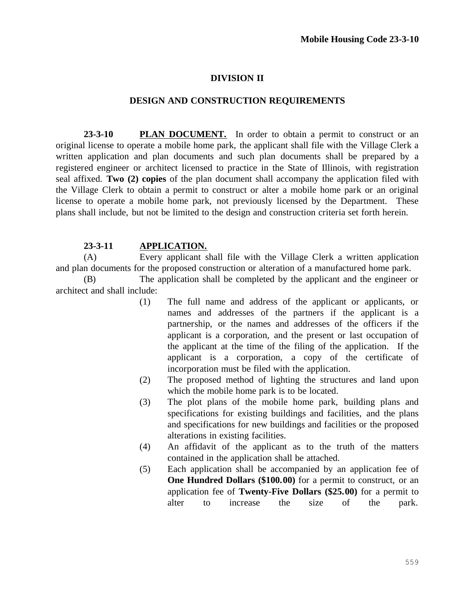### **DIVISION II**

#### **DESIGN AND CONSTRUCTION REQUIREMENTS**

**23-3-10 PLAN DOCUMENT.** In order to obtain a permit to construct or an original license to operate a mobile home park, the applicant shall file with the Village Clerk a written application and plan documents and such plan documents shall be prepared by a registered engineer or architect licensed to practice in the State of Illinois, with registration seal affixed. **Two (2) copies** of the plan document shall accompany the application filed with the Village Clerk to obtain a permit to construct or alter a mobile home park or an original license to operate a mobile home park, not previously licensed by the Department. These plans shall include, but not be limited to the design and construction criteria set forth herein.

#### **23-3-11 APPLICATION.**

(A) Every applicant shall file with the Village Clerk a written application and plan documents for the proposed construction or alteration of a manufactured home park.

(B) The application shall be completed by the applicant and the engineer or architect and shall include:

- (1) The full name and address of the applicant or applicants, or names and addresses of the partners if the applicant is a partnership, or the names and addresses of the officers if the applicant is a corporation, and the present or last occupation of the applicant at the time of the filing of the application. If the applicant is a corporation, a copy of the certificate of incorporation must be filed with the application.
- (2) The proposed method of lighting the structures and land upon which the mobile home park is to be located.
- (3) The plot plans of the mobile home park, building plans and specifications for existing buildings and facilities, and the plans and specifications for new buildings and facilities or the proposed alterations in existing facilities.
- (4) An affidavit of the applicant as to the truth of the matters contained in the application shall be attached.
- (5) Each application shall be accompanied by an application fee of **One Hundred Dollars (\$100.00)** for a permit to construct, or an application fee of **Twenty-Five Dollars (\$25.00)** for a permit to alter to increase the size of the park.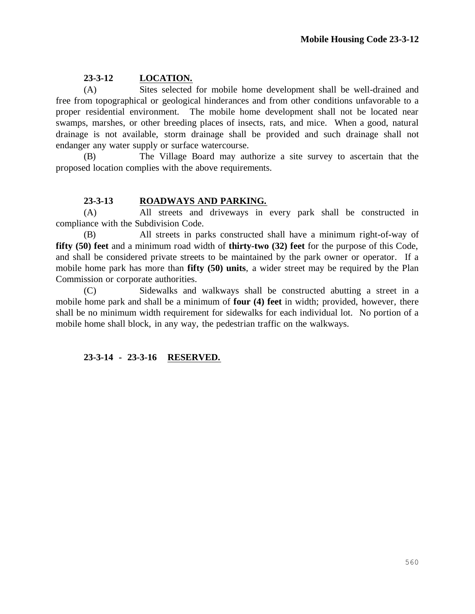# **23-3-12 LOCATION.**

(A) Sites selected for mobile home development shall be well-drained and free from topographical or geological hinderances and from other conditions unfavorable to a proper residential environment. The mobile home development shall not be located near swamps, marshes, or other breeding places of insects, rats, and mice. When a good, natural drainage is not available, storm drainage shall be provided and such drainage shall not endanger any water supply or surface watercourse.

(B) The Village Board may authorize a site survey to ascertain that the proposed location complies with the above requirements.

## **23-3-13 ROADWAYS AND PARKING.**

(A) All streets and driveways in every park shall be constructed in compliance with the Subdivision Code.

(B) All streets in parks constructed shall have a minimum right-of-way of **fifty (50) feet** and a minimum road width of **thirty-two (32) feet** for the purpose of this Code, and shall be considered private streets to be maintained by the park owner or operator. If a mobile home park has more than **fifty (50) units**, a wider street may be required by the Plan Commission or corporate authorities.

(C) Sidewalks and walkways shall be constructed abutting a street in a mobile home park and shall be a minimum of **four (4) feet** in width; provided, however, there shall be no minimum width requirement for sidewalks for each individual lot. No portion of a mobile home shall block, in any way, the pedestrian traffic on the walkways.

## **23-3-14 - 23-3-16 RESERVED.**